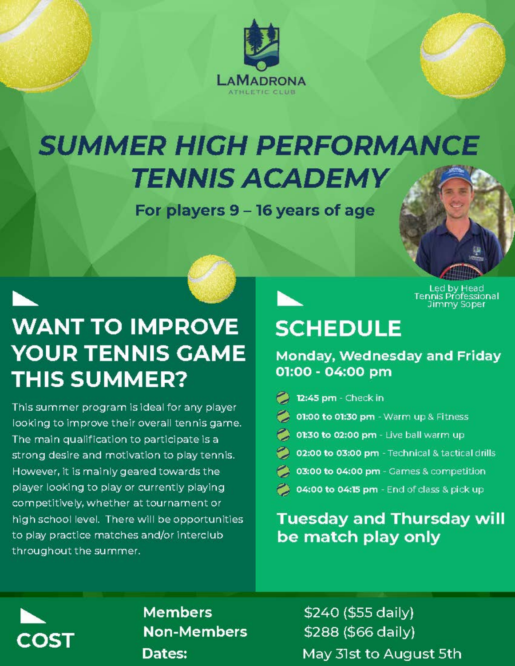

## **SUMMER HIGH PERFORMANCE TENNIS ACADEMY**

For players 9 - 16 years of age



Led by Head<br>Tennis Professional<br>Jimmy Soper

## **WANT TO IMPROVE YOUR TENNIS GAME THIS SUMMER?**

This summer program is ideal for any player looking to improve their overall tennis game. The main qualification to participate is a strong desire and motivation to play tennis. However, it is mainly geared towards the player looking to play or currently playing competitively, whether at tournament or high school level. There will be opportunities to play practice matches and/or interclub throughout the summer.

## **SCHEDULE**

Monday, Wednesday and Friday 01:00 - 04:00 pm

- 12:45 pm Check in
- 01:00 to 01:30 pm Warm up & Fitness
- 01:30 to 02:00 pm Live ball warm up
- 02:00 to 03:00 pm Technical & tactical drills
- 03:00 to 04:00 pm Games & competition
- 04:00 to 04:15 pm End of class & pick up

**Tuesday and Thursday will** be match play only



**Members Non-Members** Dates:

\$240 (\$55 daily) \$288 (\$66 daily) May 31st to August 5th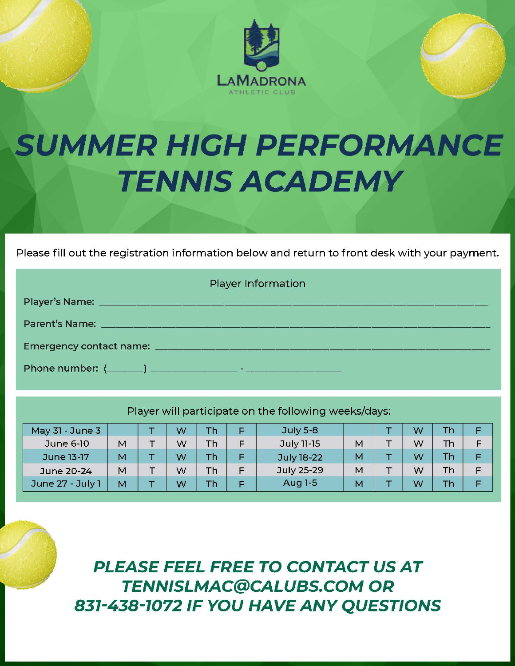

# **SUMMER HIGH PERFORMANCE TENNIS ACADEMY**

Please fill out the registration information below and return to front desk with your payment.

| <b>Player Information</b>                                                                                              |  |  |  |  |  |  |  |  |
|------------------------------------------------------------------------------------------------------------------------|--|--|--|--|--|--|--|--|
| Player's Name: <u>All and the same and the same and the same and the same and the same and the same and the same</u>   |  |  |  |  |  |  |  |  |
| Parent's Name: <b>All and Science of All and Science of All and Science of All and Science of All and Science of A</b> |  |  |  |  |  |  |  |  |
|                                                                                                                        |  |  |  |  |  |  |  |  |
|                                                                                                                        |  |  |  |  |  |  |  |  |

Player will participate on the following weeks/days:

| May 31 - June 3  |   | W | Th        | F | <b>July 5-8</b>   |   | W | Th.       | F |
|------------------|---|---|-----------|---|-------------------|---|---|-----------|---|
| June 6-10        | M | W | Th.       | F | July 11-15        | M | W | <b>Th</b> | F |
| June 13-17       | M | W | <b>Th</b> | F | <b>July 18-22</b> | M | W | <b>Th</b> | F |
| June 20-24       | M | W | <b>Th</b> | F | July 25-29        | M | W | Th.       | F |
| June 27 - July 1 | M | W | Th        | Е | Aug 1-5           | M | W |           | Е |

**PLEASE FEEL FREE TO CONTACT US AT TENNISLMAC@CALUBS.COM OR** 831-438-1072 IF YOU HAVE ANY QUESTIONS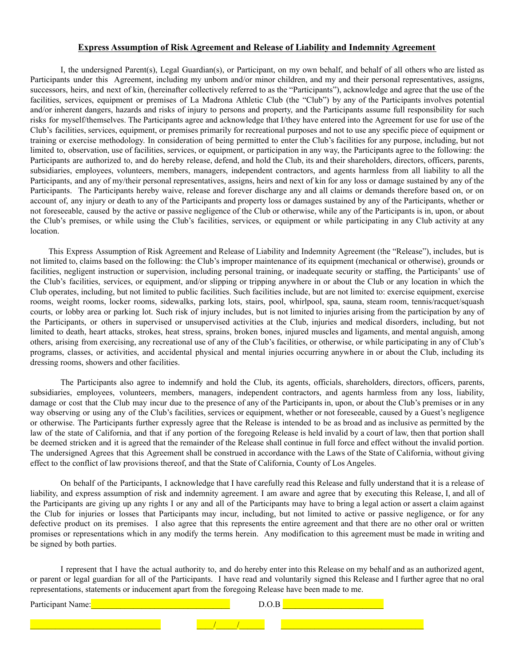#### **Express Assumption of Risk Agreement and Release of Liability and Indemnity Agreement**

I, the undersigned Parent(s), Legal Guardian(s), or Participant, on my own behalf, and behalf of all others who are listed as Participants under this Agreement, including my unborn and/or minor children, and my and their personal representatives, assigns, successors, heirs, and next of kin, (hereinafter collectively referred to as the "Participants"), acknowledge and agree that the use of the facilities, services, equipment or premises of La Madrona Athletic Club (the "Club") by any of the Participants involves potential and/or inherent dangers, hazards and risks of injury to persons and property, and the Participants assume full responsibility for such risks for myself/themselves. The Participants agree and acknowledge that I/they have entered into the Agreement for use for use of the Club's facilities, services, equipment, or premises primarily for recreational purposes and not to use any specific piece of equipment or training or exercise methodology. In consideration of being permitted to enter the Club's facilities for any purpose, including, but not limited to, observation, use of facilities, services, or equipment, or participation in any way, the Participants agree to the following: the Participants are authorized to, and do hereby release, defend, and hold the Club, its and their shareholders, directors, officers, parents, subsidiaries, employees, volunteers, members, managers, independent contractors, and agents harmless from all liability to all the Participants, and any of my/their personal representatives, assigns, heirs and next of kin for any loss or damage sustained by any of the Participants. The Participants hereby waive, release and forever discharge any and all claims or demands therefore based on, or on account of, any injury or death to any of the Participants and property loss or damages sustained by any of the Participants, whether or not foreseeable, caused by the active or passive negligence of the Club or otherwise, while any of the Participants is in, upon, or about the Club's premises, or while using the Club's facilities, services, or equipment or while participating in any Club activity at any location.

This Express Assumption of Risk Agreement and Release of Liability and Indemnity Agreement (the "Release"), includes, but is not limited to, claims based on the following: the Club's improper maintenance of its equipment (mechanical or otherwise), grounds or facilities, negligent instruction or supervision, including personal training, or inadequate security or staffing, the Participants' use of the Club's facilities, services, or equipment, and/or slipping or tripping anywhere in or about the Club or any location in which the Club operates, including, but not limited to public facilities. Such facilities include, but are not limited to: exercise equipment, exercise rooms, weight rooms, locker rooms, sidewalks, parking lots, stairs, pool, whirlpool, spa, sauna, steam room, tennis/racquet/squash courts, or lobby area or parking lot. Such risk of injury includes, but is not limited to injuries arising from the participation by any of the Participants, or others in supervised or unsupervised activities at the Club, injuries and medical disorders, including, but not limited to death, heart attacks, strokes, heat stress, sprains, broken bones, injured muscles and ligaments, and mental anguish, among others, arising from exercising, any recreational use of any of the Club's facilities, or otherwise, or while participating in any of Club's programs, classes, or activities, and accidental physical and mental injuries occurring anywhere in or about the Club, including its dressing rooms, showers and other facilities.

The Participants also agree to indemnify and hold the Club, its agents, officials, shareholders, directors, officers, parents, subsidiaries, employees, volunteers, members, managers, independent contractors, and agents harmless from any loss, liability, damage or cost that the Club may incur due to the presence of any of the Participants in, upon, or about the Club's premises or in any way observing or using any of the Club's facilities, services or equipment, whether or not foreseeable, caused by a Guest's negligence or otherwise. The Participants further expressly agree that the Release is intended to be as broad and as inclusive as permitted by the law of the state of California, and that if any portion of the foregoing Release is held invalid by a court of law, then that portion shall be deemed stricken and it is agreed that the remainder of the Release shall continue in full force and effect without the invalid portion. The undersigned Agrees that this Agreement shall be construed in accordance with the Laws of the State of California, without giving effect to the conflict of law provisions thereof, and that the State of California, County of Los Angeles.

On behalf of the Participants, I acknowledge that I have carefully read this Release and fully understand that it is a release of liability, and express assumption of risk and indemnity agreement. I am aware and agree that by executing this Release, I, and all of the Participants are giving up any rights I or any and all of the Participants may have to bring a legal action or assert a claim against the Club for injuries or losses that Participants may incur, including, but not limited to active or passive negligence, or for any defective product on its premises. I also agree that this represents the entire agreement and that there are no other oral or written promises or representations which in any modify the terms herein. Any modification to this agreement must be made in writing and be signed by both parties.

I represent that I have the actual authority to, and do hereby enter into this Release on my behalf and as an authorized agent, or parent or legal guardian for all of the Participants. I have read and voluntarily signed this Release and I further agree that no oral representations, statements or inducement apart from the foregoing Release have been made to me.